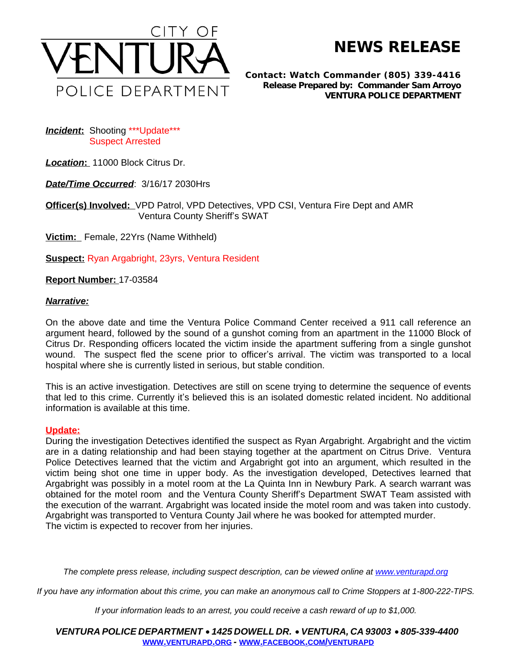

**NEWS RELEASE**

*Contact: Watch Commander (805) 339-4416 Release Prepared by: Commander Sam Arroyo* **VENTURA POLICE DEPARTMENT**

**Incident:** Shooting \*\*\* Update \*\*\* Suspect Arrested

*Location***:** 11000 Block Citrus Dr.

*Date/Time Occurred*: 3/16/17 2030Hrs

**Officer(s) Involved:** VPD Patrol, VPD Detectives, VPD CSI, Ventura Fire Dept and AMR Ventura County Sheriff's SWAT

**Victim:** Female, 22Yrs (Name Withheld)

**Suspect:** Ryan Argabright, 23yrs, Ventura Resident

**Report Number:** 17-03584

## *Narrative:*

On the above date and time the Ventura Police Command Center received a 911 call reference an argument heard, followed by the sound of a gunshot coming from an apartment in the 11000 Block of Citrus Dr. Responding officers located the victim inside the apartment suffering from a single gunshot wound. The suspect fled the scene prior to officer's arrival. The victim was transported to a local hospital where she is currently listed in serious, but stable condition.

This is an active investigation. Detectives are still on scene trying to determine the sequence of events that led to this crime. Currently it's believed this is an isolated domestic related incident. No additional information is available at this time.

## **Update:**

During the investigation Detectives identified the suspect as Ryan Argabright. Argabright and the victim are in a dating relationship and had been staying together at the apartment on Citrus Drive. Ventura Police Detectives learned that the victim and Argabright got into an argument, which resulted in the victim being shot one time in upper body. As the investigation developed, Detectives learned that Argabright was possibly in a motel room at the La Quinta Inn in Newbury Park. A search warrant was obtained for the motel room and the Ventura County Sheriff's Department SWAT Team assisted with the execution of the warrant. Argabright was located inside the motel room and was taken into custody. Argabright was transported to Ventura County Jail where he was booked for attempted murder. The victim is expected to recover from her injuries.

The complete press release, including suspect description, can be viewed online at [www.venturapd.org](http://www.venturapd.org)

*If you have any information about this crime, you can make an anonymous call to Crime Stoppers at 1-800-222-TIPS.*

*If your information leads to an arrest, you could receive a cash reward of up to \$1,000.*

*VENTURA POLICE DEPARTMENT* · *1425 DOWELL DR.* · *VENTURA, CA 93003* · *805-339-4400* **WWW.[VENTURAPD](http://www.venturapd.org).ORG** *-* **WWW.FACEBOOK.COM/[VENTURAPD](http://www.facebook.com/venturapd)**